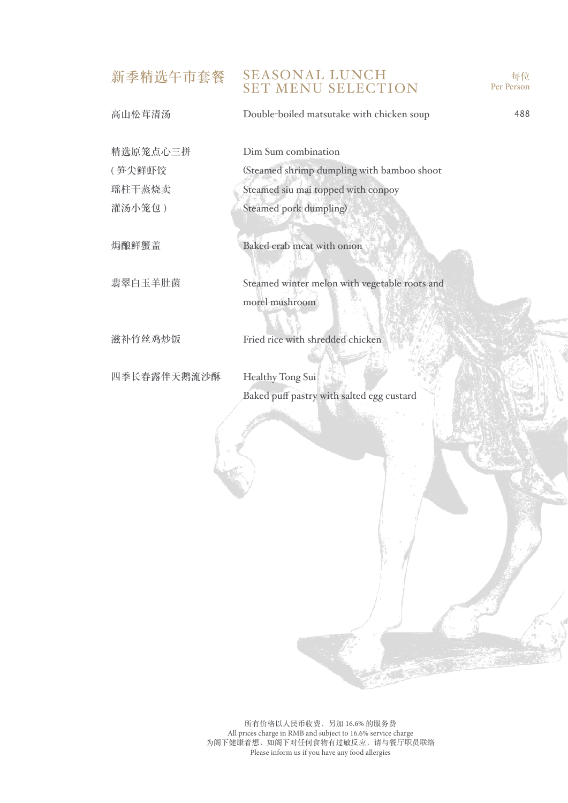# 新季精选午市套餐 SEASONAL LUNCH SET MENU SELECTION

| 高山松茸清汤      | Double-boiled matsutake with chicken soup                       | 488 |
|-------------|-----------------------------------------------------------------|-----|
| 精选原笼点心三拼    | Dim Sum combination                                             |     |
| (笋尖鲜虾饺      | (Steamed shrimp dumpling with bamboo shoot                      |     |
| 瑶柱干蒸烧卖      | Steamed siu mai topped with conpoy                              |     |
| 灌汤小笼包)      | Steamed pork dumpling)                                          |     |
| 焗酿鲜蟹盖       | Baked crab meat with onion                                      |     |
| 翡翠白玉羊肚菌     | Steamed winter melon with vegetable roots and<br>morel mushroom |     |
| 滋补竹丝鸡炒饭     | Fried rice with shredded chicken                                |     |
| 四季长春露伴天鹅流沙酥 | Healthy Tong Sui<br>Baked puff pastry with salted egg custard   |     |
|             |                                                                 |     |

每位 Per Person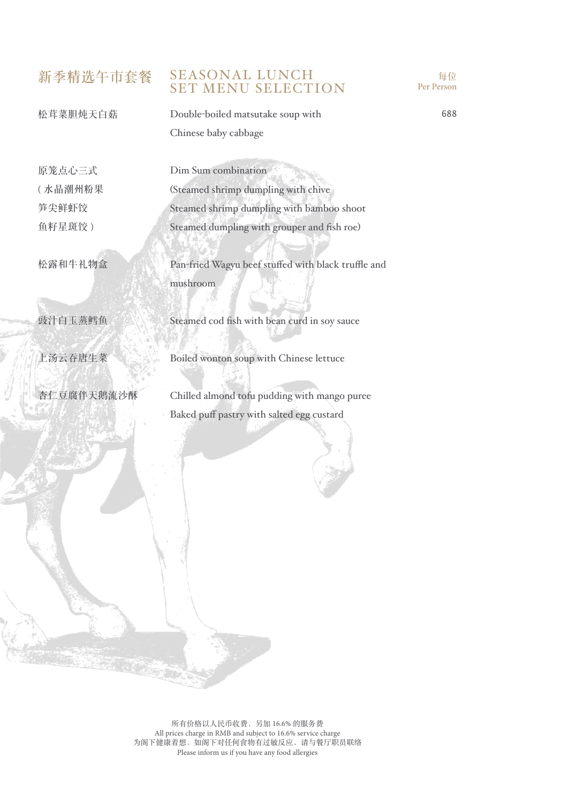### 新季精选午市套餐 SEASONAL LUNCH SET MENU SELECTION



松茸菜胆炖天白菇

Double-boiled matsutake soup with Chinese baby cabbage

原笼点心三式 ( 水晶潮州粉果 笋尖鲜虾饺 鱼籽星斑饺 )

松露和牛礼物盒

豉汁白玉蒸鳕鱼

上汤云吞唐生菜

杏仁豆腐伴天鹅流沙酥

Dim Sum combination (Steamed shrimp dumpling with chive Steamed shrimp dumpling with bamboo shoot Steamed dumpling with grouper and fish roe)

Pan-fried Wagyu beef stuffed with black truffle and mushroom

Steamed cod fish with bean curd in soy sauce

Boiled wonton soup with Chinese lettuce

Chilled almond tofu pudding with mango puree Baked puff pastry with salted egg custard

所有价格以人民币收费,另加 16.6% 的服务费 All prices charge in RMB and subject to 16.6% service charge 为阁下健康着想,如阁下对任何食物有过敏反应,请与餐厅职员联络 Please inform us if you have any food allergies

688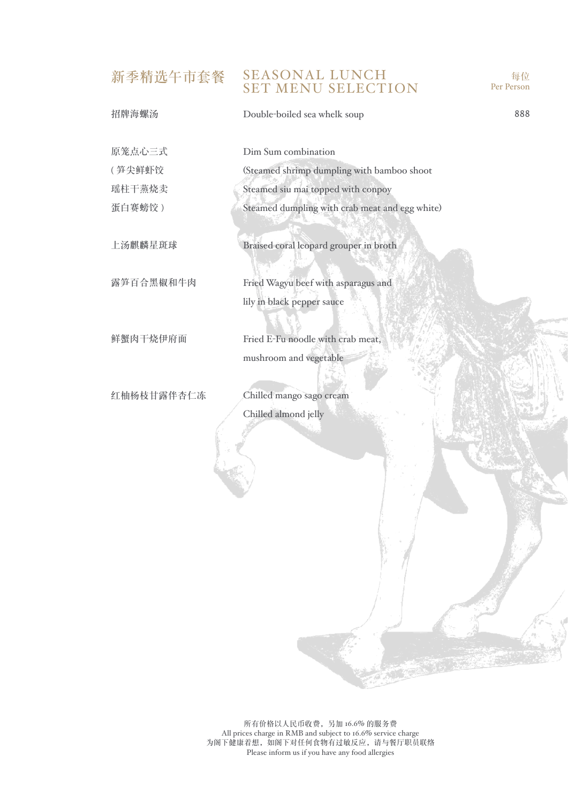### 新季精选午市套餐 SEASONAL LUNCH SET MENU SELECTION

招牌海螺汤 原笼点心三式 ( 笋尖鲜虾饺 瑶柱干蒸烧卖 蛋白赛螃饺 ) 上汤麒麟星斑球 露笋百合黑椒和牛肉 鲜蟹肉干烧伊府面 红柚杨枝甘露伴杏仁冻 Double-boiled sea whelk soup Dim Sum combination (Steamed shrimp dumpling with bamboo shoot Steamed siu mai topped with conpoy Steamed dumpling with crab meat and egg white) Braised coral leopard grouper in broth Fried Wagyu beef with asparagus and lily in black pepper sauce Fried E-Fu noodle with crab meat, mushroom and vegetable Chilled mango sago cream Chilled almond jelly 888

每位 Per Person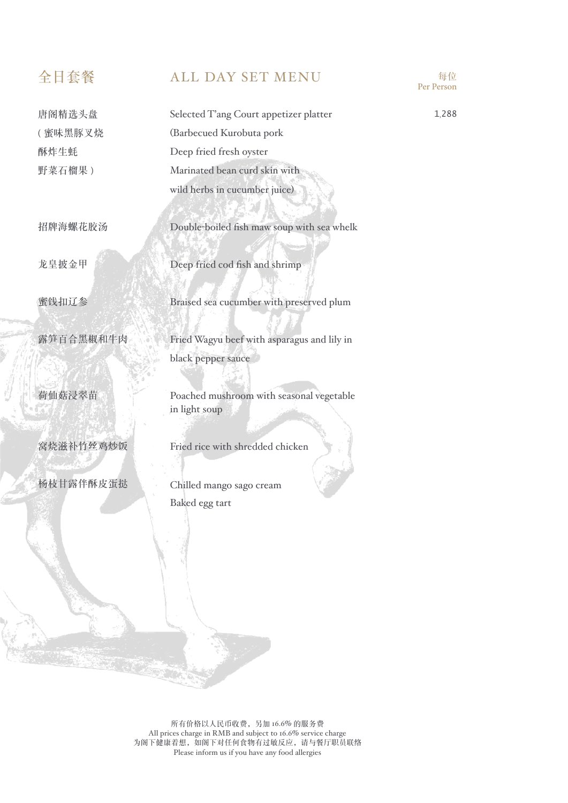唐阁精选头盘 ( 蜜味黑豚叉烧 酥炸生蚝 野菜石榴果 )

招牌海螺花胶汤

龙皇披金甲

蜜饯扣辽参

露笋百合黑椒和牛肉

荷仙菇浸翠苗

窝烧滋补竹丝鸡炒饭

杨枝甘露伴酥皮蛋挞

## 全日套餐 ALL DAY SET MENU 每位



Double-boiled fish maw soup with sea whelk

Deep fried cod fish and shrimp

Braised sea cucumber with preserved plum

Fried Wagyu beef with asparagus and lily in black pepper sauce

Poached mushroom with seasonal vegetable in light soup

Fried rice with shredded chicken

Chilled mango sago cream Baked egg tart

Per Person

1,288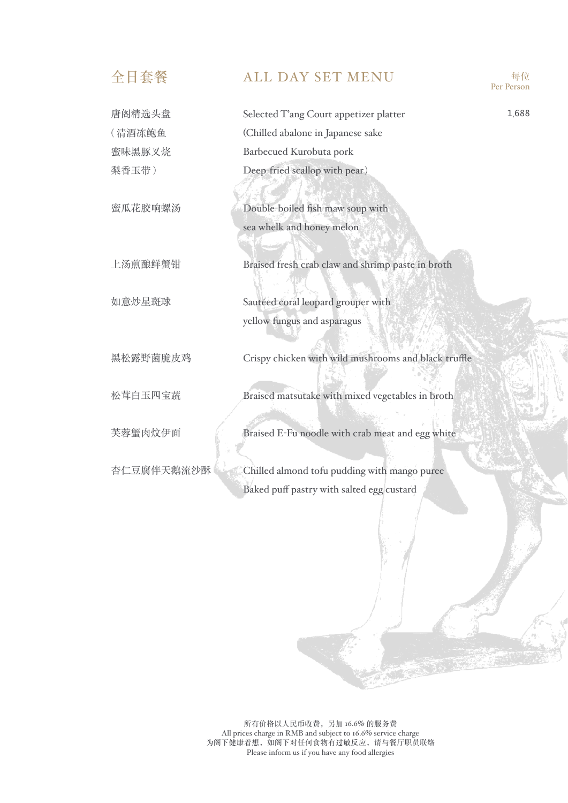| 全日套餐       | <b>ALL DAY SET MENU</b>                              | 每位<br>Per Person |
|------------|------------------------------------------------------|------------------|
| 唐阁精选头盘     | Selected T'ang Court appetizer platter               | 1,688            |
| (清酒冻鲍鱼     | (Chilled abalone in Japanese sake                    |                  |
| 蜜味黑豚叉烧     | Barbecued Kurobuta pork                              |                  |
| 梨香玉带)      | Deep-fried scallop with pear)                        |                  |
|            |                                                      |                  |
| 蜜瓜花胶响螺汤    | Double-boiled fish maw soup with                     |                  |
|            | sea whelk and honey melon                            |                  |
|            |                                                      |                  |
| 上汤煎酿鲜蟹钳    | Braised fresh crab claw and shrimp paste in broth    |                  |
|            |                                                      |                  |
| 如意炒星斑球     | Sautéed coral leopard grouper with                   |                  |
|            | yellow fungus and asparagus                          |                  |
|            |                                                      |                  |
| 黑松露野菌脆皮鸡   | Crispy chicken with wild mushrooms and black truffle |                  |
|            |                                                      |                  |
| 松茸白玉四宝蔬    | Braised matsutake with mixed vegetables in broth     |                  |
|            |                                                      |                  |
| 芙蓉蟹肉炆伊面    | Braised E-Fu noodle with crab meat and egg white     |                  |
|            |                                                      |                  |
| 杏仁豆腐伴天鹅流沙酥 | Chilled almond tofu pudding with mango puree         |                  |
|            | Baked puff pastry with salted egg custard            |                  |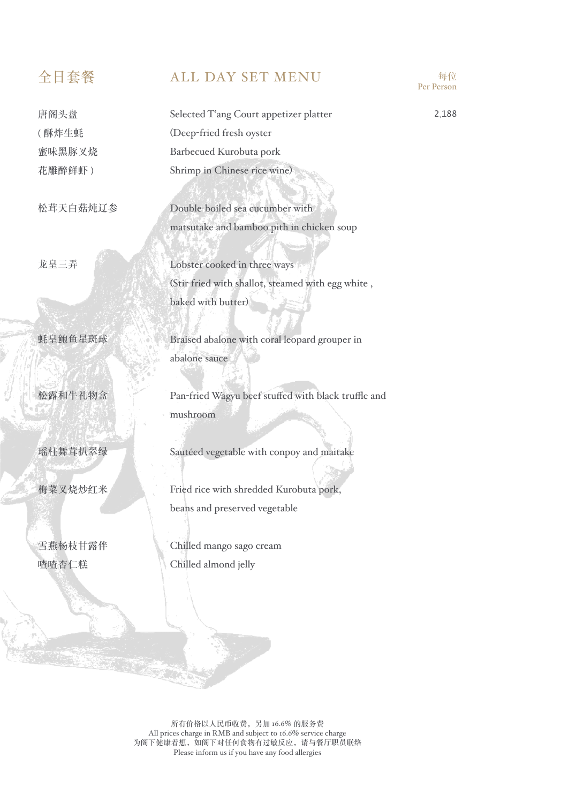唐阁头盘 ( 酥炸生蚝 蜜味黑豚叉烧 花雕醉鲜虾 )

松茸天白菇炖辽参

龙皇三弄

蚝皇鲍鱼星斑球

松露和牛礼物盒

瑶柱舞茸扒翠绿

梅菜叉烧炒红米

雪燕杨枝甘露伴 喳喳杏仁糕

# 全日套餐 ALL DAY SET MENU 每位

Selected T'ang Court appetizer platter (Deep-fried fresh oyster Barbecued Kurobuta pork Shrimp in Chinese rice wine)

Double-boiled sea cucumber with matsutake and bamboo pith in chicken soup

Lobster cooked in three ways (Stir-fried with shallot, steamed with egg white , baked with butter)

Braised abalone with coral leopard grouper in abalone sauce

Pan-fried Wagyu beef stuffed with black truffle and mushroom

Sautéed vegetable with conpoy and maitake

Fried rice with shredded Kurobuta pork, beans and preserved vegetable

Chilled mango sago cream Chilled almond jelly

Per Person

2,188